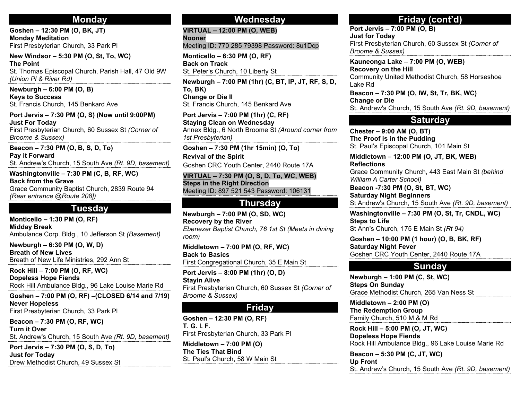### **Monday**

**Goshen – 12:30 PM (O, BK, JT) Monday Meditation** First Presbyterian Church, 33 Park Pl

**New Windsor – 5:30 PM (O, St, To, WC) The Point** St. Thomas Episcopal Church, Parish Hall, 47 Old 9W *(Union Pl & River Rd)*

**Newburgh – 6:00 PM (O, B) Keys to Success** St. Francis Church, 145 Benkard Ave

**Port Jervis – 7:30 PM (O, S) (Now until 9:00PM) Just For Today** First Presbyterian Church, 60 Sussex St *(Corner of Broome & Sussex)*

**Beacon – 7:30 PM (O, B, S, D, To) Pay it Forward** St. Andrew's Church, 15 South Ave *(Rt. 9D, basement)*

**Washingtonville – 7:30 PM (C, B, RF, WC) Back from the Grave** Grace Community Baptist Church, 2839 Route 94 *(Rear entrance @Route 208])*

### **Tuesday**

**Monticello – 1:30 PM (O, RF) Midday Break** Ambulance Corp. Bldg., 10 Jefferson St *(Basement)*

**Newburgh – 6:30 PM (O, W, D) Breath of New Lives** Breath of New Life Ministries, 292 Ann St

**Rock Hill – 7:00 PM (O, RF, WC) Dopeless Hope Fiends** Rock Hill Ambulance Bldg., 96 Lake Louise Marie Rd

**Goshen – 7:00 PM (O, RF) –(CLOSED 6/14 and 7/19) Never Hopeless** First Presbyterian Church, 33 Park Pl

**Beacon – 7:30 PM (O, RF, WC) Turn it Over** St. Andrew's Church, 15 South Ave *(Rt. 9D, basement)*

**Port Jervis – 7:30 PM (O, S, D, To) Just for Today** Drew Methodist Church, 49 Sussex St

#### **Wednesday**

**Nooner** Meeting ID: 770 285 79398 Password: 8u1Dcp

**Monticello – 6:30 PM (O, RF) Back on Track** St. Peter's Church, 10 Liberty St

**VIRTUAL – 12:00 PM (O, WEB)**

**Newburgh – 7:00 PM (1hr) (C, BT, IP, JT, RF, S, D, To, BK) Change or Die II** St. Francis Church, 145 Benkard Ave

**Port Jervis – 7:00 PM (1hr) (C, RF) Staying Clean on Wednesday** Annex Bldg., 6 North Broome St *(Around corner from 1st Presbyterian)*

**Goshen – 7:30 PM (1hr 15min) (O, To) Revival of the Spirit**

Goshen CRC Youth Center, 2440 Route 17A

**VIRTUAL – 7:30 PM (O, S, D, To, WC, WEB) Steps in the Right Direction** Meeting ID: 897 521 543 Password: 106131

# **Thursday**

**Newburgh – 7:00 PM (O, SD, WC) Recovery by the River** *Ebenezer Baptist Church, 76 1st St (Meets in dining room)*

**Middletown – 7:00 PM (O, RF, WC) Back to Basics** First Congregational Church, 35 E Main St

**Port Jervis – 8:00 PM (1hr) (O, D) Stayin Alive** First Presbyterian Church, 60 Sussex St *(Corner of Broome & Sussex)*

# **Friday**

**Goshen – 12:30 PM (O, RF) T. G. I. F.** First Presbyterian Church, 33 Park Pl

**Middletown – 7:00 PM (O) The Ties That Bind** St. Paul's Church, 58 W Main St

# **Friday (cont'd)**

**Port Jervis – 7:00 PM (O, B) Just for Today** First Presbyterian Church, 60 Sussex St *(Corner of Broome & Sussex)*

**Kauneonga Lake – 7:00 PM (O, WEB) Recovery on the Hill** Community United Methodist Church, 58 Horseshoe Lake Rd

**Beacon – 7:30 PM (O, IW, St, Tr, BK, WC) Change or Die** St. Andrew's Church, 15 South Ave *(Rt. 9D, basement)*

### **Saturday**

**Chester – 9:00 AM (O, BT) The Proof is in the Pudding** St. Paul's Episcopal Church, 101 Main St

**Middletown – 12:00 PM (O, JT, BK, WEB) Reflections**

Grace Community Church, 443 East Main St *(behind William A Carter School)*

**Beacon -7:30 PM (O, St, BT, WC) Saturday Night Beginners** St Andrew's Church, 15 South Ave *(Rt. 9D, basement)*

**Washingtonville – 7:30 PM (O, St, Tr, CNDL, WC) Steps to Life** St Ann's Church, 175 E Main St *(Rt 94)*

**Goshen – 10:00 PM (1 hour) (O, B, BK, RF) Saturday Night Fever** Goshen CRC Youth Center, 2440 Route 17A

# **Sunday**

**Newburgh – 1:00 PM (C, St, WC) Steps On Sunday** Grace Methodist Church, 265 Van Ness St

**Middletown – 2:00 PM (O) The Redemption Group** Family Church, 510 M & M Rd

**Rock Hill – 5:00 PM (O, JT, WC) Dopeless Hope Fiends** Rock Hill Ambulance Bldg., 96 Lake Louise Marie Rd

**Beacon – 5:30 PM (C, JT, WC) Up Front** St. Andrew's Church, 15 South Ave *(Rt. 9D, basement)*